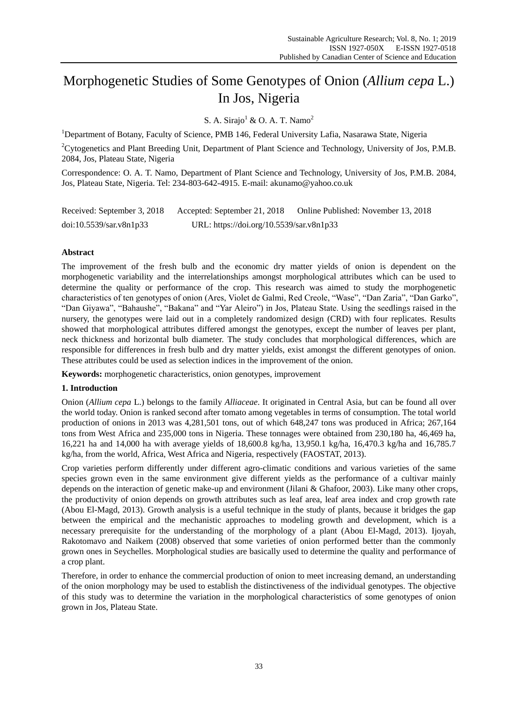# Morphogenetic Studies of Some Genotypes of Onion (*Allium cepa* L.) In Jos, Nigeria

S. A. Sirajo<sup>1</sup> & O. A. T. Namo<sup>2</sup>

<sup>1</sup>Department of Botany, Faculty of Science, PMB 146, Federal University Lafia, Nasarawa State, Nigeria

<sup>2</sup>Cytogenetics and Plant Breeding Unit, Department of Plant Science and Technology, University of Jos, P.M.B. 2084, Jos, Plateau State, Nigeria

Correspondence: O. A. T. Namo, Department of Plant Science and Technology, University of Jos, P.M.B. 2084, Jos, Plateau State, Nigeria. Tel: 234-803-642-4915. E-mail: akunamo@yahoo.co.uk

| Received: September 3, 2018 | Accepted: September 21, 2018             | Online Published: November 13, 2018 |
|-----------------------------|------------------------------------------|-------------------------------------|
| doi:10.5539/sar.v8n1p33     | URL: https://doi.org/10.5539/sar.v8n1p33 |                                     |

# **Abstract**

The improvement of the fresh bulb and the economic dry matter yields of onion is dependent on the morphogenetic variability and the interrelationships amongst morphological attributes which can be used to determine the quality or performance of the crop. This research was aimed to study the morphogenetic characteristics of ten genotypes of onion (Ares, Violet de Galmi, Red Creole, "Wase", "Dan Zaria", "Dan Garko", "Dan Giyawa", "Bahaushe", "Bakana" and "Yar Aleiro") in Jos, Plateau State. Using the seedlings raised in the nursery, the genotypes were laid out in a completely randomized design (CRD) with four replicates. Results showed that morphological attributes differed amongst the genotypes, except the number of leaves per plant, neck thickness and horizontal bulb diameter. The study concludes that morphological differences, which are responsible for differences in fresh bulb and dry matter yields, exist amongst the different genotypes of onion. These attributes could be used as selection indices in the improvement of the onion.

**Keywords:** morphogenetic characteristics, onion genotypes, improvement

# **1. Introduction**

Onion (*Allium cepa* L.) belongs to the family *Alliaceae*. It originated in Central Asia, but can be found all over the world today. Onion is ranked second after tomato among vegetables in terms of consumption. The total world production of onions in 2013 was 4,281,501 tons, out of which 648,247 tons was produced in Africa; 267,164 tons from West Africa and 235,000 tons in Nigeria. These tonnages were obtained from 230,180 ha, 46,469 ha, 16,221 ha and 14,000 ha with average yields of 18,600.8 kg/ha, 13,950.1 kg/ha, 16,470.3 kg/ha and 16,785.7 kg/ha, from the world, Africa, West Africa and Nigeria, respectively (FAOSTAT, 2013).

Crop varieties perform differently under different agro-climatic conditions and various varieties of the same species grown even in the same environment give different yields as the performance of a cultivar mainly depends on the interaction of genetic make-up and environment (Jilani & Ghafoor, 2003). Like many other crops, the productivity of onion depends on growth attributes such as leaf area, leaf area index and crop growth rate (Abou El-Magd, 2013). Growth analysis is a useful technique in the study of plants, because it bridges the gap between the empirical and the mechanistic approaches to modeling growth and development, which is a necessary prerequisite for the understanding of the morphology of a plant (Abou El-Magd, 2013). Ijoyah, Rakotomavo and Naikem (2008) observed that some varieties of onion performed better than the commonly grown ones in Seychelles. Morphological studies are basically used to determine the quality and performance of a crop plant.

Therefore, in order to enhance the commercial production of onion to meet increasing demand, an understanding of the onion morphology may be used to establish the distinctiveness of the individual genotypes. The objective of this study was to determine the variation in the morphological characteristics of some genotypes of onion grown in Jos, Plateau State.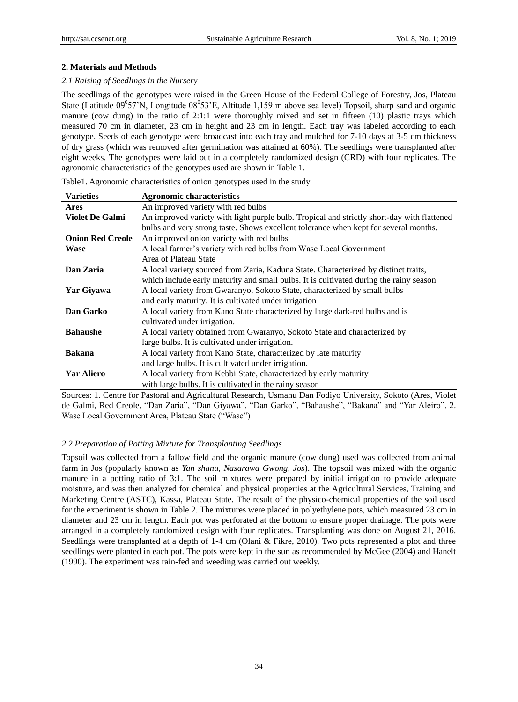# **2. Materials and Methods**

# *2.1 Raising of Seedlings in the Nursery*

The seedlings of the genotypes were raised in the Green House of the Federal College of Forestry, Jos, Plateau State (Latitude  $09^0$ 57'N, Longitude  $08^0$ 53'E, Altitude 1,159 m above sea level) Topsoil, sharp sand and organic manure (cow dung) in the ratio of 2:1:1 were thoroughly mixed and set in fifteen (10) plastic trays which measured 70 cm in diameter, 23 cm in height and 23 cm in length. Each tray was labeled according to each genotype. Seeds of each genotype were broadcast into each tray and mulched for 7-10 days at 3-5 cm thickness of dry grass (which was removed after germination was attained at 60%). The seedlings were transplanted after eight weeks. The genotypes were laid out in a completely randomized design (CRD) with four replicates. The agronomic characteristics of the genotypes used are shown in Table 1.

| <b>Varieties</b>        | <b>Agronomic characteristics</b>                                                           |
|-------------------------|--------------------------------------------------------------------------------------------|
| Ares                    | An improved variety with red bulbs                                                         |
| <b>Violet De Galmi</b>  | An improved variety with light purple bulb. Tropical and strictly short-day with flattened |
|                         | bulbs and very strong taste. Shows excellent tolerance when kept for several months.       |
| <b>Onion Red Creole</b> | An improved onion variety with red bulbs                                                   |
| <b>Wase</b>             | A local farmer's variety with red bulbs from Wase Local Government                         |
|                         | Area of Plateau State                                                                      |
| Dan Zaria               | A local variety sourced from Zaria, Kaduna State. Characterized by distinct traits,        |
|                         | which include early maturity and small bulbs. It is cultivated during the rainy season     |
| Yar Giyawa              | A local variety from Gwaranyo, Sokoto State, characterized by small bulbs                  |
|                         | and early maturity. It is cultivated under irrigation                                      |
| Dan Garko               | A local variety from Kano State characterized by large dark-red bulbs and is               |
|                         | cultivated under irrigation.                                                               |
| <b>Bahaushe</b>         | A local variety obtained from Gwaranyo, Sokoto State and characterized by                  |
|                         | large bulbs. It is cultivated under irrigation.                                            |
| <b>Bakana</b>           | A local variety from Kano State, characterized by late maturity                            |
|                         | and large bulbs. It is cultivated under irrigation.                                        |
| <b>Yar Aliero</b>       | A local variety from Kebbi State, characterized by early maturity                          |
|                         | with large bulbs. It is cultivated in the rainy season                                     |

Table1. Agronomic characteristics of onion genotypes used in the study

Sources: 1. Centre for Pastoral and Agricultural Research, Usmanu Dan Fodiyo University, Sokoto (Ares, Violet de Galmi, Red Creole, "Dan Zaria", "Dan Giyawa", "Dan Garko", "Bahaushe", "Bakana" and "Yar Aleiro", 2. Wase Local Government Area, Plateau State ("Wase")

# *2.2 Preparation of Potting Mixture for Transplanting Seedlings*

Topsoil was collected from a fallow field and the organic manure (cow dung) used was collected from animal farm in Jos (popularly known as *Yan shanu, Nasarawa Gwong, Jos*). The topsoil was mixed with the organic manure in a potting ratio of 3:1. The soil mixtures were prepared by initial irrigation to provide adequate moisture, and was then analyzed for chemical and physical properties at the Agricultural Services, Training and Marketing Centre (ASTC), Kassa, Plateau State. The result of the physico-chemical properties of the soil used for the experiment is shown in Table 2. The mixtures were placed in polyethylene pots, which measured 23 cm in diameter and 23 cm in length. Each pot was perforated at the bottom to ensure proper drainage. The pots were arranged in a completely randomized design with four replicates. Transplanting was done on August 21, 2016. Seedlings were transplanted at a depth of 1-4 cm (Olani & Fikre, 2010). Two pots represented a plot and three seedlings were planted in each pot. The pots were kept in the sun as recommended by McGee (2004) and Hanelt (1990). The experiment was rain-fed and weeding was carried out weekly.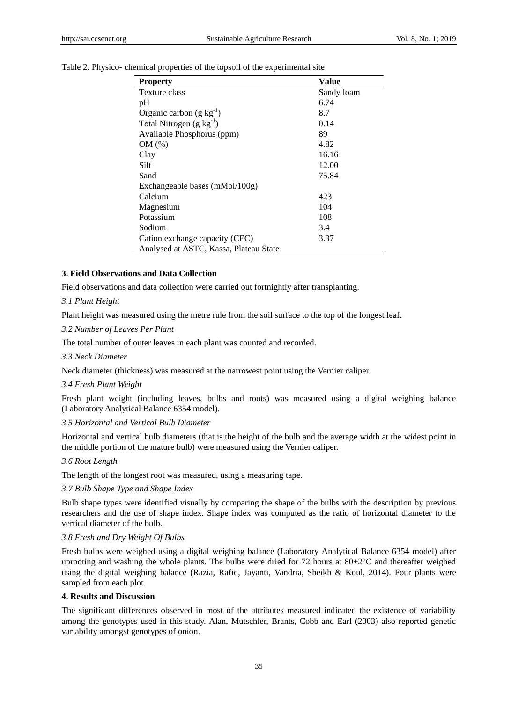| <b>Property</b>                        | Value      |
|----------------------------------------|------------|
| Texture class                          | Sandy loam |
| pH                                     | 6.74       |
| Organic carbon $(g \ kg^{-1})$         | 8.7        |
| Total Nitrogen $(g \, kg^{-1})$        | 0.14       |
| Available Phosphorus (ppm)             | 89         |
| $OM(\%)$                               | 4.82       |
| Clay                                   | 16.16      |
| Silt                                   | 12.00      |
| Sand                                   | 75.84      |
| Exchangeable bases (mMol/100g)         |            |
| Calcium                                | 423        |
| Magnesium                              | 104        |
| Potassium                              | 108        |
| Sodium                                 | 3.4        |
| Cation exchange capacity (CEC)         | 3.37       |
| Analysed at ASTC, Kassa, Plateau State |            |

Table 2. Physico- chemical properties of the topsoil of the experimental site

#### **3. Field Observations and Data Collection**

Field observations and data collection were carried out fortnightly after transplanting.

#### *3.1 Plant Height*

Plant height was measured using the metre rule from the soil surface to the top of the longest leaf.

#### *3.2 Number of Leaves Per Plant*

The total number of outer leaves in each plant was counted and recorded.

*3.3 Neck Diameter*

Neck diameter (thickness) was measured at the narrowest point using the Vernier caliper.

#### *3.4 Fresh Plant Weight*

Fresh plant weight (including leaves, bulbs and roots) was measured using a digital weighing balance (Laboratory Analytical Balance 6354 model).

#### *3.5 Horizontal and Vertical Bulb Diameter*

Horizontal and vertical bulb diameters (that is the height of the bulb and the average width at the widest point in the middle portion of the mature bulb) were measured using the Vernier caliper.

## *3.6 Root Length*

The length of the longest root was measured, using a measuring tape.

## *3.7 Bulb Shape Type and Shape Index*

Bulb shape types were identified visually by comparing the shape of the bulbs with the description by previous researchers and the use of shape index. Shape index was computed as the ratio of horizontal diameter to the vertical diameter of the bulb.

#### *3.8 Fresh and Dry Weight Of Bulbs*

Fresh bulbs were weighed using a digital weighing balance (Laboratory Analytical Balance 6354 model) after uprooting and washing the whole plants. The bulbs were dried for 72 hours at  $80 \pm 2 \text{ }^{\circ}$  and thereafter weighed using the digital weighing balance (Razia, Rafiq, Jayanti, Vandria, Sheikh & Koul*,* 2014). Four plants were sampled from each plot.

# **4. Results and Discussion**

The significant differences observed in most of the attributes measured indicated the existence of variability among the genotypes used in this study. Alan, Mutschler, Brants, Cobb and Earl (2003) also reported genetic variability amongst genotypes of onion.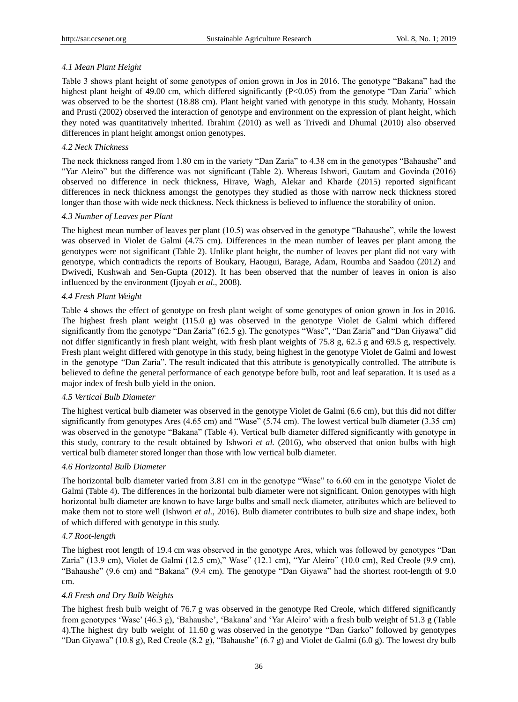# *4.1 Mean Plant Height*

Table 3 shows plant height of some genotypes of onion grown in Jos in 2016. The genotype "Bakana" had the highest plant height of 49.00 cm, which differed significantly (P<0.05) from the genotype "Dan Zaria" which was observed to be the shortest (18.88 cm). Plant height varied with genotype in this study. Mohanty, Hossain and Prusti (2002) observed the interaction of genotype and environment on the expression of plant height, which they noted was quantitatively inherited. Ibrahim (2010) as well as Trivedi and Dhumal (2010) also observed differences in plant height amongst onion genotypes.

# *4.2 Neck Thickness*

The neck thickness ranged from 1.80 cm in the variety "Dan Zaria" to 4.38 cm in the genotypes "Bahaushe" and "Yar Aleiro" but the difference was not significant (Table 2). Whereas Ishwori, Gautam and Govinda (2016) observed no difference in neck thickness, Hirave, Wagh, Alekar and Kharde (2015) reported significant differences in neck thickness amongst the genotypes they studied as those with narrow neck thickness stored longer than those with wide neck thickness. Neck thickness is believed to influence the storability of onion.

# *4.3 Number of Leaves per Plant*

The highest mean number of leaves per plant (10.5) was observed in the genotype "Bahaushe", while the lowest was observed in Violet de Galmi (4.75 cm). Differences in the mean number of leaves per plant among the genotypes were not significant (Table 2). Unlike plant height, the number of leaves per plant did not vary with genotype, which contradicts the reports of Boukary, Haougui, Barage, Adam, Roumba and Saadou (2012) and Dwivedi, Kushwah and Sen-Gupta (2012). It has been observed that the number of leaves in onion is also influenced by the environment (Ijoyah *et al*., 2008).

# *4.4 Fresh Plant Weight*

Table 4 shows the effect of genotype on fresh plant weight of some genotypes of onion grown in Jos in 2016. The highest fresh plant weight (115.0 g) was observed in the genotype Violet de Galmi which differed significantly from the genotype "Dan Zaria" (62.5 g). The genotypes "Wase", "Dan Zaria" and "Dan Giyawa" did not differ significantly in fresh plant weight, with fresh plant weights of 75.8 g, 62.5 g and 69.5 g, respectively. Fresh plant weight differed with genotype in this study, being highest in the genotype Violet de Galmi and lowest in the genotype "Dan Zaria". The result indicated that this attribute is genotypically controlled. The attribute is believed to define the general performance of each genotype before bulb, root and leaf separation. It is used as a major index of fresh bulb yield in the onion.

# *4.5 Vertical Bulb Diameter*

The highest vertical bulb diameter was observed in the genotype Violet de Galmi (6.6 cm), but this did not differ significantly from genotypes Ares (4.65 cm) and "Wase" (5.74 cm). The lowest vertical bulb diameter (3.35 cm) was observed in the genotype "Bakana" (Table 4). Vertical bulb diameter differed significantly with genotype in this study, contrary to the result obtained by Ishwori *et al.* (2016), who observed that onion bulbs with high vertical bulb diameter stored longer than those with low vertical bulb diameter.

# *4.6 Horizontal Bulb Diameter*

The horizontal bulb diameter varied from 3.81 cm in the genotype "Wase" to 6.60 cm in the genotype Violet de Galmi (Table 4). The differences in the horizontal bulb diameter were not significant. Onion genotypes with high horizontal bulb diameter are known to have large bulbs and small neck diameter, attributes which are believed to make them not to store well (Ishwori *et al.,* 2016). Bulb diameter contributes to bulb size and shape index, both of which differed with genotype in this study.

# *4.7 Root-length*

The highest root length of 19.4 cm was observed in the genotype Ares, which was followed by genotypes "Dan Zaria" (13.9 cm), Violet de Galmi (12.5 cm)," Wase" (12.1 cm), "Yar Aleiro" (10.0 cm), Red Creole (9.9 cm), "Bahaushe" (9.6 cm) and "Bakana" (9.4 cm). The genotype "Dan Giyawa" had the shortest root-length of 9.0 cm.

# *4.8 Fresh and Dry Bulb Weights*

The highest fresh bulb weight of 76.7 g was observed in the genotype Red Creole, which differed significantly from genotypes "Wase" (46.3 g), "Bahaushe", "Bakana" and "Yar Aleiro" with a fresh bulb weight of 51.3 g (Table 4).The highest dry bulb weight of 11.60 g was observed in the genotype "Dan Garko" followed by genotypes "Dan Giyawa" (10.8 g), Red Creole (8.2 g), "Bahaushe" (6.7 g) and Violet de Galmi (6.0 g). The lowest dry bulb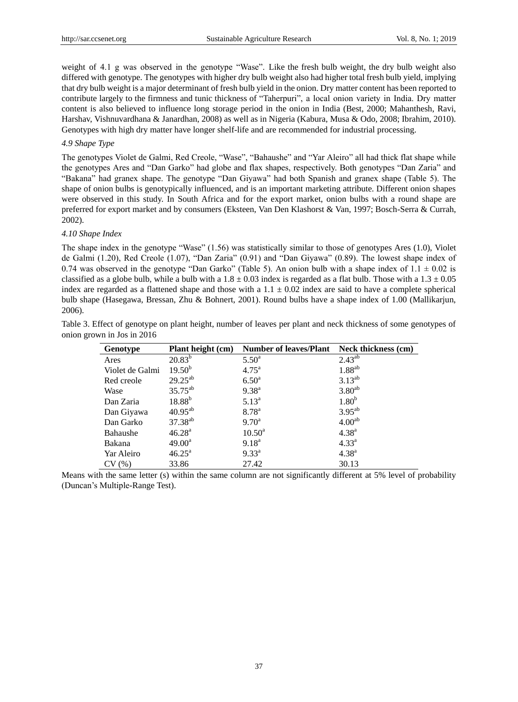weight of 4.1 g was observed in the genotype "Wase". Like the fresh bulb weight, the dry bulb weight also differed with genotype. The genotypes with higher dry bulb weight also had higher total fresh bulb yield, implying that dry bulb weight is a major determinant of fresh bulb yield in the onion. Dry matter content has been reported to contribute largely to the firmness and tunic thickness of "Taherpuri", a local onion variety in India. Dry matter content is also believed to influence long storage period in the onion in India (Best, 2000; Mahanthesh, Ravi, Harshav, Vishnuvardhana & Janardhan, 2008) as well as in Nigeria (Kabura, Musa & Odo, 2008; Ibrahim, 2010). Genotypes with high dry matter have longer shelf-life and are recommended for industrial processing.

## *4.9 Shape Type*

The genotypes Violet de Galmi, Red Creole, "Wase", "Bahaushe" and "Yar Aleiro" all had thick flat shape while the genotypes Ares and "Dan Garko" had globe and flax shapes, respectively. Both genotypes "Dan Zaria" and "Bakana" had granex shape. The genotype "Dan Giyawa" had both Spanish and granex shape (Table 5). The shape of onion bulbs is genotypically influenced, and is an important marketing attribute. Different onion shapes were observed in this study. In South Africa and for the export market, onion bulbs with a round shape are preferred for export market and by consumers (Eksteen, Van Den Klashorst & Van, 1997; Bosch-Serra & Currah, 2002).

## *4.10 Shape Index*

The shape index in the genotype "Wase" (1.56) was statistically similar to those of genotypes Ares (1.0), Violet de Galmi (1.20), Red Creole (1.07), "Dan Zaria" (0.91) and "Dan Giyawa" (0.89). The lowest shape index of 0.74 was observed in the genotype "Dan Garko" (Table 5). An onion bulb with a shape index of  $1.1 \pm 0.02$  is classified as a globe bulb, while a bulb with a 1.8  $\pm$  0.03 index is regarded as a flat bulb. Those with a 1.3  $\pm$  0.05 index are regarded as a flattened shape and those with a 1.1  $\pm$  0.02 index are said to have a complete spherical bulb shape (Hasegawa, Bressan, Zhu & Bohnert, 2001). Round bulbs have a shape index of 1.00 (Mallikarjun, 2006).

| Genotype        | <b>Plant height (cm)</b> | <b>Number of leaves/Plant</b> | Neck thickness (cm) |
|-----------------|--------------------------|-------------------------------|---------------------|
| Ares            | $20.83^{b}$              | $5.50^{\circ}$                | $2.43^{ab}$         |
| Violet de Galmi | $19.50^{b}$              | $4.75^{\rm a}$                | $1.88^{ab}$         |
| Red creole      | $29.25^{ab}$             | 6.50 <sup>a</sup>             | $3.13^{ab}$         |
| Wase            | $35.75^{ab}$             | $9.38^{a}$                    | $3.80^{ab}$         |
| Dan Zaria       | $18.88^{b}$              | $5.13^{a}$                    | 1.80 <sup>b</sup>   |
| Dan Giyawa      | $40.95^{ab}$             | $8.78^{a}$                    | $3.95^{ab}$         |
| Dan Garko       | 37.38 <sup>ab</sup>      | $9.70^{\rm a}$                | 4.00 <sup>ab</sup>  |
| <b>Bahaushe</b> | $46.28^{a}$              | $10.50^{\circ}$               | $4.38^{a}$          |
| Bakana          | $49.00^{\rm a}$          | 9.18 <sup>a</sup>             | $4.33^{a}$          |
| Yar Aleiro      | $46.25^{\rm a}$          | $9.33^{a}$                    | $4.38^{a}$          |
| (%)             | 33.86                    | 27.42                         | 30.13               |

Table 3. Effect of genotype on plant height, number of leaves per plant and neck thickness of some genotypes of onion grown in Jos in 2016

Means with the same letter (s) within the same column are not significantly different at 5% level of probability (Duncan"s Multiple-Range Test).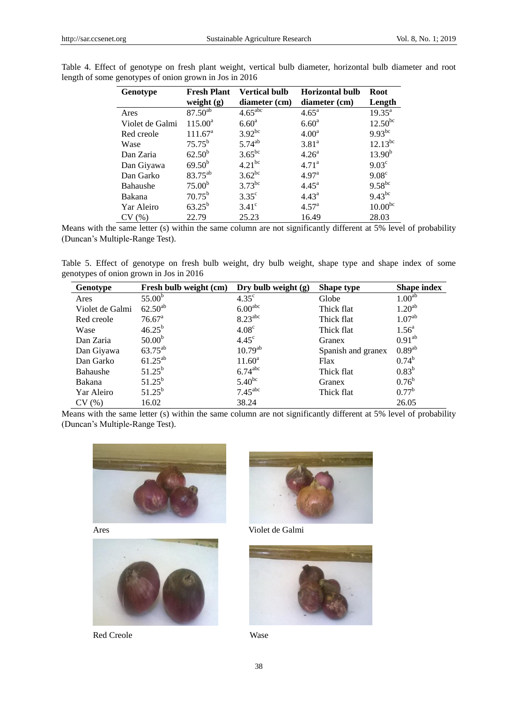| Genotype        | <b>Fresh Plant</b>  | <b>Vertical bulb</b> | <b>Horizontal bulb</b> | <b>Root</b>        |
|-----------------|---------------------|----------------------|------------------------|--------------------|
|                 | weight $(g)$        | diameter (cm)        | diameter (cm)          | Length             |
| Ares            | $87.50^{ab}$        | $4.65^{\text{abc}}$  | $4.65^{\circ}$         | $19.35^{\text{a}}$ |
| Violet de Galmi | $115.00^a$          | 6.60 <sup>a</sup>    | 6.60 <sup>a</sup>      | $12.50^{bc}$       |
| Red creole      | $111.67^{\circ}$    | $3.92^{bc}$          | 4.00 <sup>a</sup>      | $9.93^{bc}$        |
| Wase            | $75.75^b$           | $5.74^{ab}$          | 3.81 <sup>a</sup>      | $12.13^{bc}$       |
| Dan Zaria       | $62.50^{b}$         | $3.65^{bc}$          | 4.26 <sup>a</sup>      | $13.90^{b}$        |
| Dan Giyawa      | $69.50^{b}$         | $4.21^{bc}$          | 4.71 <sup>a</sup>      | 9.03 <sup>c</sup>  |
| Dan Garko       | 83.75 <sup>ab</sup> | $3.62^{bc}$          | 4.97 <sup>a</sup>      | 9.08 <sup>c</sup>  |
| Bahaushe        | 75.00 <sup>b</sup>  | $3.73^{bc}$          | $4.45^{\circ}$         | $9.58^{bc}$        |
| Bakana          | $70.75^{\rm b}$     | $3.35^{\circ}$       | $4.43^{\circ}$         | $9.43^{bc}$        |
| Yar Aleiro      | $63.25^{\rm b}$     | $3.41^\circ$         | $4.57^{\rm a}$         | $10.00^{bc}$       |
| CV(%)           | 22.79               | 25.23                | 16.49                  | 28.03              |

Table 4. Effect of genotype on fresh plant weight, vertical bulb diameter, horizontal bulb diameter and root length of some genotypes of onion grown in Jos in 2016

Means with the same letter (s) within the same column are not significantly different at 5% level of probability (Duncan"s Multiple-Range Test).

Table 5. Effect of genotype on fresh bulb weight, dry bulb weight, shape type and shape index of some genotypes of onion grown in Jos in 2016

| Genotype        | Fresh bulb weight (cm) | Dry bulb weight $(g)$ | <b>Shape type</b>  | <b>Shape index</b> |
|-----------------|------------------------|-----------------------|--------------------|--------------------|
| Ares            | $55.00^{\rm b}$        | $4.35^{\circ}$        | Globe              | 1.00 <sup>ab</sup> |
| Violet de Galmi | $62.50^{ab}$           | 6.00 <sup>abc</sup>   | Thick flat         | 1.20 <sup>ab</sup> |
| Red creole      | $76.67^{\rm a}$        | $8.23$ <sup>abc</sup> | Thick flat         | 1.07 <sup>ab</sup> |
| Wase            | $46.25^{b}$            | 4.08 <sup>c</sup>     | Thick flat         | $1.56^{\circ}$     |
| Dan Zaria       | 50.00 <sup>b</sup>     | $4.45^{\circ}$        | Granex             | 0.91 <sup>ab</sup> |
| Dan Giyawa      | $63.75^{ab}$           | $10.79^{ab}$          | Spanish and granex | $0.89^{ab}$        |
| Dan Garko       | $61.25^{ab}$           | $11.60^a$             | Flax               | $0.74^{\rm b}$     |
| Bahaushe        | $51.25^{b}$            | $6.74$ <sup>abc</sup> | Thick flat         | $0.83^{b}$         |
| Bakana          | $51.25^{b}$            | $5.40^{bc}$           | Granex             | $0.76^{\rm b}$     |
| Yar Aleiro      | $51.25^b$              | $7.45$ <sup>abc</sup> | Thick flat         | $0.77^{\rm b}$     |
| CV(%)           | 16.02                  | 38.24                 |                    | 26.05              |

Means with the same letter (s) within the same column are not significantly different at 5% level of probability (Duncan"s Multiple-Range Test).





Red Creole Wase



Ares Violet de Galmi

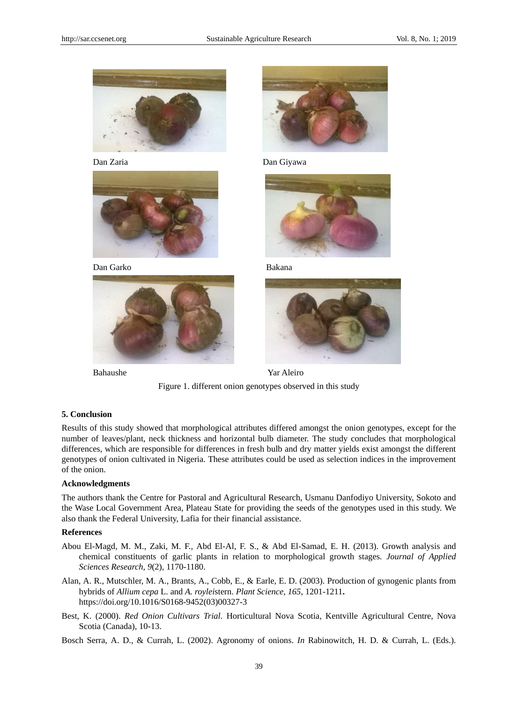





Dan Zaria Dan Giyawa



Dan Garko Bakana





Bahaushe Yar Aleiro Figure 1. different onion genotypes observed in this study

# **5. Conclusion**

Results of this study showed that morphological attributes differed amongst the onion genotypes, except for the number of leaves/plant, neck thickness and horizontal bulb diameter. The study concludes that morphological differences, which are responsible for differences in fresh bulb and dry matter yields exist amongst the different genotypes of onion cultivated in Nigeria. These attributes could be used as selection indices in the improvement of the onion.

#### **Acknowledgments**

The authors thank the Centre for Pastoral and Agricultural Research, Usmanu Danfodiyo University, Sokoto and the Wase Local Government Area, Plateau State for providing the seeds of the genotypes used in this study. We also thank the Federal University, Lafia for their financial assistance.

# **References**

- Abou El-Magd, M. M., Zaki, M. F., Abd El-Al, F. S., & Abd El-Samad, E. H. (2013). Growth analysis and chemical constituents of garlic plants in relation to morphological growth stages. *Journal of Applied Sciences Research, 9*(2), 1170-1180.
- Alan, A. R., Mutschler, M. A., Brants, A., Cobb, E., & Earle, E. D. (2003). Production of gynogenic plants from hybrids of *Allium cepa* L. and *A. roylei*stern. *Plant Science, 165*, 1201-1211**.**  https://doi.org/10.1016/S0168-9452(03)00327-3
- Best, K. (2000). *Red Onion Cultivars Trial*. Horticultural Nova Scotia, Kentville Agricultural Centre, Nova Scotia (Canada), 10-13.

Bosch Serra, A. D., & Currah, L. (2002). Agronomy of onions. *In* Rabinowitch, H. D. & Currah, L. (Eds.).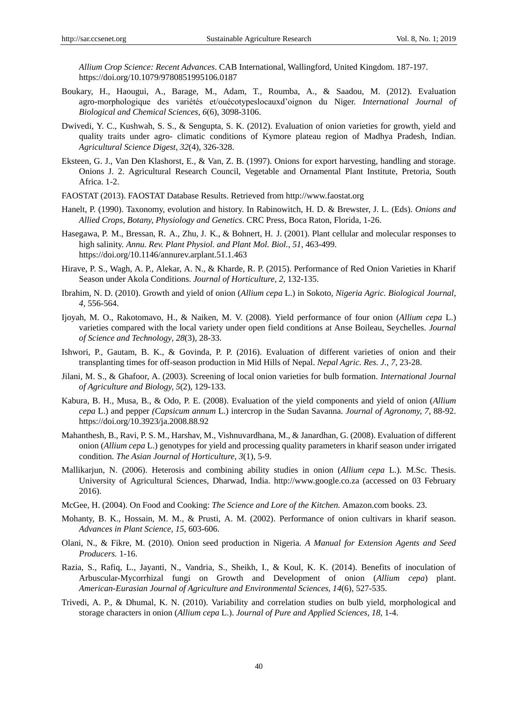*Allium Crop Science: Recent Advances*. CAB International, Wallingford, United Kingdom. 187-197. https://doi.org/10.1079/9780851995106.0187

- Boukary, H., Haougui, A., Barage, M., Adam, T., Roumba, A., & Saadou, M. (2012). Evaluation agro-morphologique des variétés et/ouécotypeslocauxd"oignon du Niger. *International Journal of Biological and Chemical Sciences, 6*(6), 3098-3106.
- Dwivedi, Y. C., Kushwah, S. S., & Sengupta, S. K. (2012). Evaluation of onion varieties for growth, yield and quality traits under agro- climatic conditions of Kymore plateau region of Madhya Pradesh, Indian. *Agricultural Science Digest, 32*(4), 326-328.
- Eksteen, G. J., Van Den Klashorst, E., & Van, Z. B. (1997). Onions for export harvesting, handling and storage. Onions J. 2. Agricultural Research Council, Vegetable and Ornamental Plant Institute, Pretoria, South Africa. 1-2.
- FAOSTAT (2013). FAOSTAT Database Results. Retrieved from http://www.faostat.org
- Hanelt, P. (1990). Taxonomy, evolution and history. In Rabinowitch, H. D. & Brewster, J. L. (Eds). *Onions and Allied Crops*, *Botany, Physiology and Genetics*. CRC Press, Boca Raton, Florida, 1-26.
- Hasegawa, P. M., Bressan, R. A., Zhu, J. K., & Bohnert, H. J. (2001). Plant cellular and molecular responses to high salinity. *Annu. Rev. Plant Physiol. and Plant Mol. Biol., 51*, 463-499. https://doi.org/10.1146/annurev.arplant.51.1.463
- Hirave, P. S., Wagh, A. P., Alekar, A. N., & Kharde, R. P. (2015). Performance of Red Onion Varieties in Kharif Season under Akola Conditions. *Journal of Horticulture, 2*, 132-135.
- Ibrahim, N. D. (2010). Growth and yield of onion (*Allium cepa* L.) in Sokoto*, Nigeria Agric. Biological Journal, 4*, 556-564.
- Ijoyah, M. O., Rakotomavo, H., & Naiken, M. V. (2008)*.* Yield performance of four onion (*Allium cepa* L.) varieties compared with the local variety under open field conditions at Anse Boileau, Seychelles. *Journal of Science and Technology, 28*(3), 28-33.
- Ishwori, P., Gautam, B. K., & Govinda, P. P. (2016). Evaluation of different varieties of onion and their transplanting times for off-season production in Mid Hills of Nepal. *Nepal Agric. Res. J., 7*, 23-28.
- Jilani, M. S., & Ghafoor, A. (2003). Screening of local onion varieties for bulb formation. *International Journal of Agriculture and Biology, 5*(2), 129-133.
- Kabura, B. H., Musa, B., & Odo, P. E. (2008). Evaluation of the yield components and yield of onion (*Allium cepa* L.) and pepper *(Capsicum annum* L.) intercrop in the Sudan Savanna. *Journal of Agronomy, 7*, 88-92. https://doi.org/10.3923/ja.2008.88.92
- Mahanthesh, B., Ravi, P. S. M., Harshav, M., Vishnuvardhana, M., & Janardhan, G. (2008). Evaluation of different onion (*Allium cepa* L.) genotypes for yield and processing quality parameters in kharif season under irrigated condition. *The Asian Journal of Horticulture, 3*(1), 5-9.
- Mallikarjun, N. (2006). Heterosis and combining ability studies in onion (*Allium cepa* L.). M.Sc. Thesis. University of Agricultural Sciences, Dharwad, India. http://www.google.co.za (accessed on 03 February 2016).
- McGee, H. (2004). On Food and Cooking: *The Science and Lore of the Kitchen.* Amazon.com books. 23.
- Mohanty, B. K., Hossain, M. M., & Prusti, A. M. (2002). Performance of onion cultivars in kharif season. *Advances in Plant Science, 15*, 603-606.
- Olani, N., & Fikre, M. (2010). Onion seed production in Nigeria. *A Manual for Extension Agents and Seed Producers.* 1-16.
- Razia, S., Rafiq, L., Jayanti, N., Vandria, S., Sheikh, I., & Koul, K. K. (2014). Benefits of inoculation of Arbuscular-Mycorrhizal fungi on Growth and Development of onion (*Allium cepa*) plant. *American-Eurasian Journal of Agriculture and Environmental Sciences, 14*(6), 527-535.
- Trivedi, A. P., & Dhumal, K. N. (2010). Variability and correlation studies on bulb yield, morphological and storage characters in onion (*Allium cepa* L.). *Journal of Pure and Applied Sciences, 18*, 1-4.